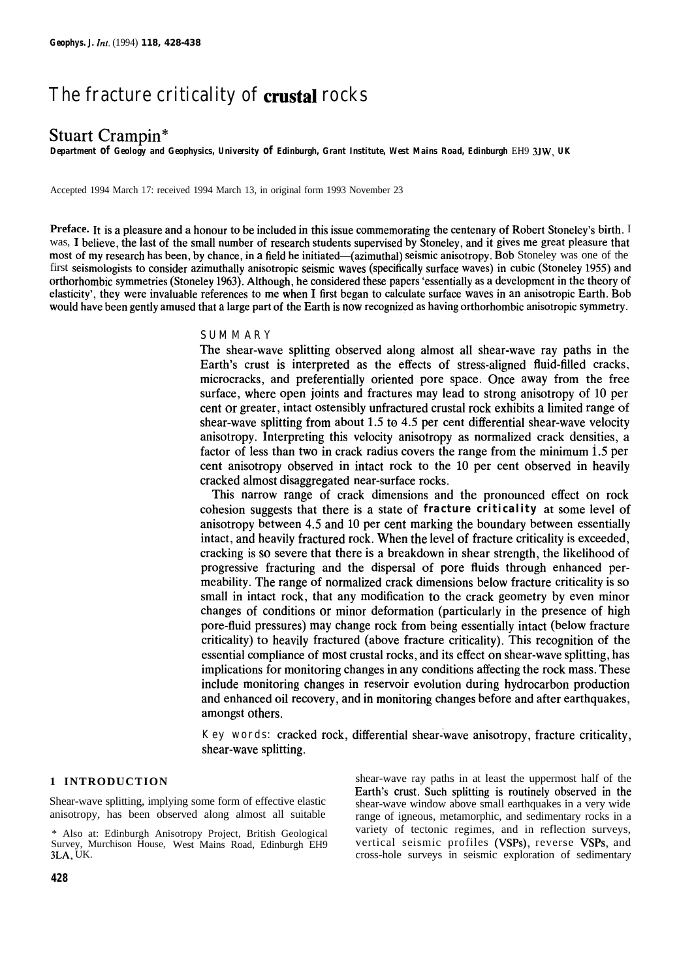# **The fracture criticality of crustal rocks**

## Stuart Crampin"

*Department of Geology and Geophysics, University of Edinburgh, Grant Institute, West Mains Road, Edinburgh* EH9 3JW, *UK*

Accepted 1994 March 17: received 1994 March 13, in original form 1993 November 23

**Preface.** It is a pleasure and a honour to be included in this issue commemorating the centenary of Robert Stoneley's birth. I was, I believe, the last of the small number of research students supervised by Stoneley, and it gives me great pleasure that most of my research has been, by chance, in a field he initiated—(azimuthal) seismic anisotropy. Bob Stoneley was one of the first seismologists to consider azimuthally anisotropic seismic waves (specifically surface waves) in cubic (Stoneley 1955) and orthorhombic symmetries (Stoneley 1963). Although, he considered these papers 'essentially as a development in the theory of elasticity', they were invaluable references to me when I first began to calculate surface waves in an anisotropic Earth. Bob would have been gently amused that a large part of the Earth is now recognized as having orthorhombic anisotropic symmetry.

### **SUMMARY**

The shear-wave splitting observed along almost all shear-wave ray paths in the Earth's crust is interpreted as the effects of stress-aligned fluid-filled cracks, microcracks, and preferentially oriented pore space. Once away from the free surface, where open joints and fractures may lead to strong anisotropy of 10 per cent or greater, intact ostensibly unfractured crustal rock exhibits a limited range of shear-wave splitting from about 1.5 to 4.5 per cent differential shear-wave velocity anisotropy. Interpreting this velocity anisotropy as normalized crack densities, a factor of less than two in crack radius covers the range from the minimum 1.5 per cent anisotropy observed in intact rock to the 10 per cent observed in heavily cracked almost disaggregated near-surface rocks.

This narrow range of crack dimensions and the pronounced effect on rock cohesion suggests that there is a state of *fracture criticality* at some level of anisotropy between 4.5 and 10 per cent marking the boundary between essentially intact, and heavily fractured rock. When the level of fracture criticality is exceeded, cracking is so severe that there is a breakdown in shear strength, the likelihood of progressive fracturing and the dispersal of pore fluids through enhanced permeability. The range of normalized crack dimensions below fracture criticality is so small in intact rock, that any modification to the crack geometry by even minor changes of conditions or minor deformation (particularly in the presence of high pore-fluid pressures) may change rock from being essentially intact (below fracture criticality) to heavily fractured (above fracture criticality). This recognition of the essential compliance of most crustal rocks, and its effect on shear-wave splitting, has implications for monitoring changes in any conditions affecting the rock mass. These include monitoring changes in reservoir evolution during hydrocarbon production and enhanced oil recovery, and in monitoring changes before and after earthquakes, amongst others.

**Key words:** cracked rock, differential shear-wave anisotropy, fracture criticality, shear-wave splitting.

## **1 INTRODUCTION**

Shear-wave splitting, implying some form of effective elastic anisotropy, has been observed along almost all suitable

shear-wave ray paths in at least the uppermost half of the Earth's crust. Such splitting is routinely observed in the shear-wave window above small earthquakes in a very wide range of igneous, metamorphic, and sedimentary rocks in a variety of tectonic regimes, and in reflection surveys, vertical seismic profiles (VSPs), reverse VSPs, and cross-hole surveys in seismic exploration of sedimentary

<sup>\*</sup> Also at: Edinburgh Anisotropy Project, British Geological Survey, Murchison House, West Mains Road, Edinburgh EH9 3LA, UK.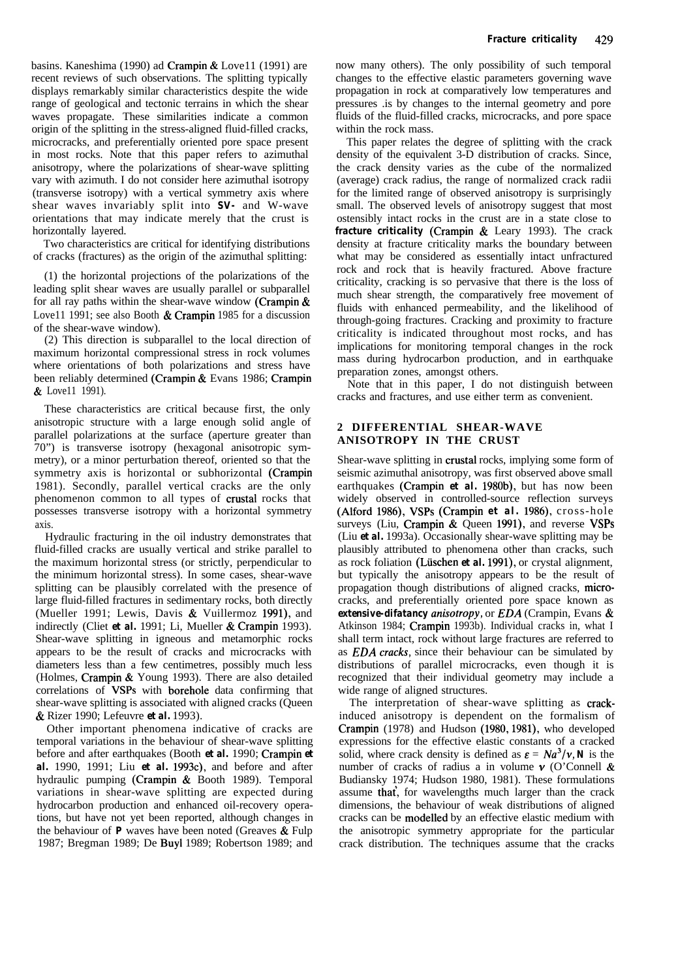basins. Kaneshima (1990) ad Crampin & Love11 (1991) are recent reviews of such observations. The splitting typically displays remarkably similar characteristics despite the wide range of geological and tectonic terrains in which the shear waves propagate. These similarities indicate a common origin of the splitting in the stress-aligned fluid-filled cracks, microcracks, and preferentially oriented pore space present in most rocks. Note that this paper refers to azimuthal anisotropy, where the polarizations of shear-wave splitting vary with azimuth. I do not consider here azimuthal isotropy (transverse isotropy) with a vertical symmetry axis where shear waves invariably split into *SV-* and W-wave orientations that may indicate merely that the crust is horizontally layered.

Two characteristics are critical for identifying distributions of cracks (fractures) as the origin of the azimuthal splitting:

(1) the horizontal projections of the polarizations of the leading split shear waves are usually parallel or subparallel for all ray paths within the shear-wave window (Crampin  $\&$ Love11 1991; see also Booth & Crampin 1985 for a discussion of the shear-wave window).

(2) This direction is subparallel to the local direction of maximum horizontal compressional stress in rock volumes where orientations of both polarizations and stress have been reliably determined (Crampin & Evans 1986; Crampin & Love11 1991).

These characteristics are critical because first, the only anisotropic structure with a large enough solid angle of parallel polarizations at the surface (aperture greater than 70") is transverse isotropy (hexagonal anisotropic symmetry), or a minor perturbation thereof, oriented so that the symmetry axis is horizontal or subhorizontal (Crampin 1981). Secondly, parallel vertical cracks are the only phenomenon common to all types of crustal rocks that possesses transverse isotropy with a horizontal symmetry axis.

Hydraulic fracturing in the oil industry demonstrates that fluid-filled cracks are usually vertical and strike parallel to the maximum horizontal stress (or strictly, perpendicular to the minimum horizontal stress). In some cases, shear-wave splitting can be plausibly correlated with the presence of large fluid-filled fractures in sedimentary rocks, both directly (Mueller 1991; Lewis, Davis & Vuillermoz 1991), and indirectly (Cliet *et al.* 1991; Li, Mueller & Crampin 1993). Shear-wave splitting in igneous and metamorphic rocks appears to be the result of cracks and microcracks with diameters less than a few centimetres, possibly much less (Holmes, Crampin & Young 1993). There are also detailed correlations of VSPs with borehole data confirming that shear-wave splitting is associated with aligned cracks (Queen & Rizer 1990; Lefeuvre *et al.* 1993).

Other important phenomena indicative of cracks are temporal variations in the behaviour of shear-wave splitting before and after earthquakes (Booth *et al.* 1990; Crampin *et* **al.** 1990, 1991; Liu **et al.** 1993c), and before and after hydraulic pumping (Crampin & Booth 1989). Temporal variations in shear-wave splitting are expected during hydrocarbon production and enhanced oil-recovery operations, but have not yet been reported, although changes in the behaviour of *P* waves have been noted (Greaves & Fulp 1987; Bregman 1989; De Buy1 1989; Robertson 1989; and

now many others). The only possibility of such temporal changes to the effective elastic parameters governing wave propagation in rock at comparatively low temperatures and pressures .is by changes to the internal geometry and pore fluids of the fluid-filled cracks, microcracks, and pore space within the rock mass.

This paper relates the degree of splitting with the crack density of the equivalent 3-D distribution of cracks. Since, the crack density varies as the cube of the normalized (average) crack radius, the range of normalized crack radii for the limited range of observed anisotropy is surprisingly small. The observed levels of anisotropy suggest that most ostensibly intact rocks in the crust are in a state close to *fracture criticality* (Crampin & Leary 1993). The crack density at fracture criticality marks the boundary between what may be considered as essentially intact unfractured rock and rock that is heavily fractured. Above fracture criticality, cracking is so pervasive that there is the loss of much shear strength, the comparatively free movement of fluids with enhanced permeability, and the likelihood of through-going fractures. Cracking and proximity to fracture criticality is indicated throughout most rocks, and has implications for monitoring temporal changes in the rock mass during hydrocarbon production, and in earthquake preparation zones, amongst others.

Note that in this paper, I do not distinguish between cracks and fractures, and use either term as convenient.

## **2 DIFFERENTIAL SHEAR-WAVE ANISOTROPY IN THE CRUST**

Shear-wave splitting in crustal rocks, implying some form of seismic azimuthal anisotropy, was first observed above small earthquakes (Crampin *et al.* 1980b), but has now been widely observed in controlled-source reflection surveys (Alford 1986), VSPs (Crampin *et al.* 1986), cross-hole surveys (Liu, Crampin & Queen 1991), and reverse VSPs (Liu *et al.* 1993a). Occasionally shear-wave splitting may be plausibly attributed to phenomena other than cracks, such as rock foliation (Lüschen *et al.* 1991), or crystal alignment, but typically the anisotropy appears to be the result of propagation though distributions of aligned cracks, microcracks, and preferentially oriented pore space known as *extensive-difatancy anisotropy,* or *EDA* (Crampin, Evans & Atkinson 1984; Crampin 1993b). Individual cracks in, what I shall term intact, rock without large fractures are referred to as *EDA* cracks, since their behaviour can be simulated by distributions of parallel microcracks, even though it is recognized that their individual geometry may include a wide range of aligned structures.

The interpretation of shear-wave splitting as crackinduced anisotropy is dependent on the formalism of Crampin (1978) and Hudson (1980,1981), who developed expressions for the effective elastic constants of a cracked solid, where crack density is defined as  $\varepsilon = Na^3/v$ , N is the number of cracks of radius a in volume  $\nu$  (O'Connell & Budiansky 1974; Hudson 1980, 1981). These formulations assume thaf, for wavelengths much larger than the crack dimensions, the behaviour of weak distributions of aligned cracks can be modelled by an effective elastic medium with the anisotropic symmetry appropriate for the particular crack distribution. The techniques assume that the cracks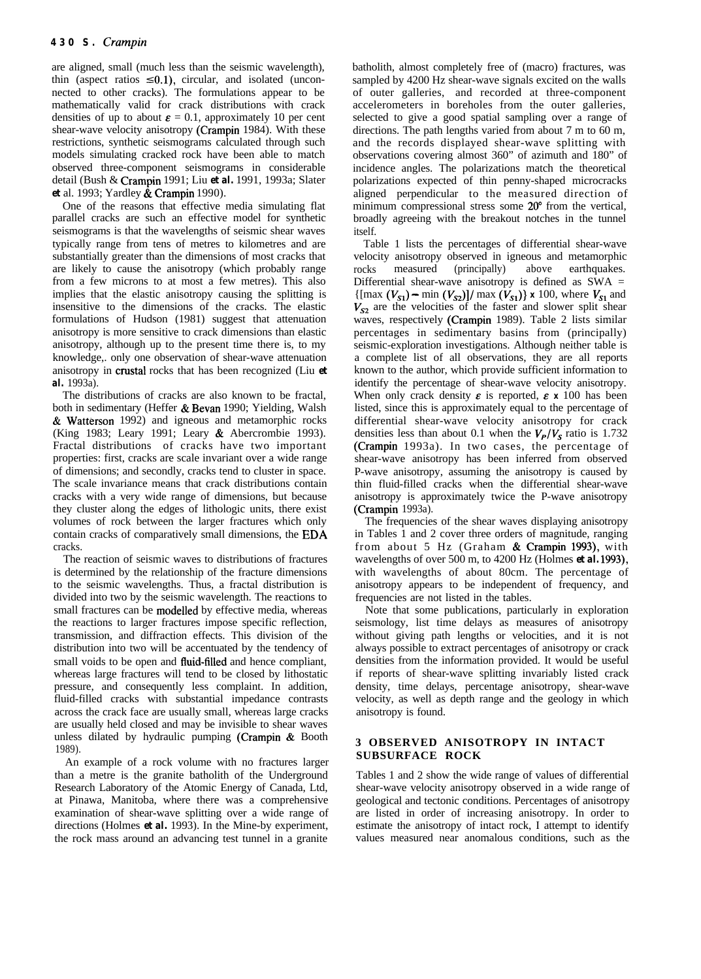are aligned, small (much less than the seismic wavelength), thin (aspect ratios  $\leq 0.1$ ), circular, and isolated (unconnected to other cracks). The formulations appear to be mathematically valid for crack distributions with crack densities of up to about  $\epsilon = 0.1$ , approximately 10 per cent shear-wave velocity anisotropy (Crampin 1984). With these restrictions, synthetic seismograms calculated through such models simulating cracked rock have been able to match observed three-component seismograms in considerable detail (Bush & Crampin 1991; Liu *et al.* 1991, 1993a; Slater *et* al. 1993; Yardley & Crampin 1990).

One of the reasons that effective media simulating flat parallel cracks are such an effective model for synthetic seismograms is that the wavelengths of seismic shear waves typically range from tens of metres to kilometres and are substantially greater than the dimensions of most cracks that are likely to cause the anisotropy (which probably range from a few microns to at most a few metres). This also implies that the elastic anisotropy causing the splitting is insensitive to the dimensions of the cracks. The elastic formulations of Hudson (1981) suggest that attenuation anisotropy is more sensitive to crack dimensions than elastic anisotropy, although up to the present time there is, to my knowledge,. only one observation of shear-wave attenuation anisotropy in crustal rocks that has been recognized (Liu *et al.* 1993a).

The distributions of cracks are also known to be fractal, both in sedimentary (Heffer & Bevan 1990; Yielding, Walsh & Watterson 1992) and igneous and metamorphic rocks (King 1983; Leary 1991; Leary & Abercrombie 1993). Fractal distributions of cracks have two important properties: first, cracks are scale invariant over a wide range of dimensions; and secondly, cracks tend to cluster in space. The scale invariance means that crack distributions contain cracks with a very wide range of dimensions, but because they cluster along the edges of lithologic units, there exist volumes of rock between the larger fractures which only contain cracks of comparatively small dimensions, the EDA cracks.

The reaction of seismic waves to distributions of fractures is determined by the relationship of the fracture dimensions to the seismic wavelengths. Thus, a fractal distribution is divided into two by the seismic wavelength. The reactions to small fractures can be modelled by effective media, whereas the reactions to larger fractures impose specific reflection, transmission, and diffraction effects. This division of the distribution into two will be accentuated by the tendency of small voids to be open and fluid-filled and hence compliant, whereas large fractures will tend to be closed by lithostatic pressure, and consequently less complaint. In addition, fluid-filled cracks with substantial impedance contrasts across the crack face are usually small, whereas large cracks are usually held closed and may be invisible to shear waves unless dilated by hydraulic pumping (Crampin & Booth 1989).

An example of a rock volume with no fractures larger than a metre is the granite batholith of the Underground Research Laboratory of the Atomic Energy of Canada, Ltd, at Pinawa, Manitoba, where there was a comprehensive examination of shear-wave splitting over a wide range of directions (Holmes *et al.* 1993). In the Mine-by experiment, the rock mass around an advancing test tunnel in a granite

batholith, almost completely free of (macro) fractures, was sampled by 4200 Hz shear-wave signals excited on the walls of outer galleries, and recorded at three-component accelerometers in boreholes from the outer galleries, selected to give a good spatial sampling over a range of directions. The path lengths varied from about 7 m to 60 m, and the records displayed shear-wave splitting with observations covering almost 360" of azimuth and 180" of incidence angles. The polarizations match the theoretical polarizations expected of thin penny-shaped microcracks aligned perpendicular to the measured direction of minimum compressional stress some 20" from the vertical, broadly agreeing with the breakout notches in the tunnel itself.

Table 1 lists the percentages of differential shear-wave velocity anisotropy observed in igneous and metamorphic rocks measured (principally) above earthquakes. Differential shear-wave anisotropy is defined as SWA =  ${[max (V_{s1}) - min (V_{s2})]} / max (V_{s1})$  *x* 100, where  $V_{s1}$  and  $V_{S2}$  are the velocities of the faster and slower split shear waves, respectively (Crampin 1989). Table 2 lists similar percentages in sedimentary basins from (principally) seismic-exploration investigations. Although neither table is a complete list of all observations, they are all reports known to the author, which provide sufficient information to identify the percentage of shear-wave velocity anisotropy. When only crack density  $\varepsilon$  is reported,  $\varepsilon \times 100$  has been listed, since this is approximately equal to the percentage of differential shear-wave velocity anisotropy for crack densities less than about 0.1 when the  $V_P/V_S$  ratio is 1.732 (Crampin 1993a). In two cases, the percentage of shear-wave anisotropy has been inferred from observed P-wave anisotropy, assuming the anisotropy is caused by thin fluid-filled cracks when the differential shear-wave anisotropy is approximately twice the P-wave anisotropy (Crampin 1993a).

The frequencies of the shear waves displaying anisotropy in Tables 1 and 2 cover three orders of magnitude, ranging from about 5 Hz (Graham & Crampin 1993), with wavelengths of over 500 m, to 4200 Hz (Holmes *et al.* 1993), with wavelengths of about 80cm. The percentage of anisotropy appears to be independent of frequency, and frequencies are not listed in the tables.

Note that some publications, particularly in exploration seismology, list time delays as measures of anisotropy without giving path lengths or velocities, and it is not always possible to extract percentages of anisotropy or crack densities from the information provided. It would be useful if reports of shear-wave splitting invariably listed crack density, time delays, percentage anisotropy, shear-wave velocity, as well as depth range and the geology in which anisotropy is found.

## **3 OBSERVED ANISOTROPY IN INTACT SUBSURFACE ROCK**

Tables 1 and 2 show the wide range of values of differential shear-wave velocity anisotropy observed in a wide range of geological and tectonic conditions. Percentages of anisotropy are listed in order of increasing anisotropy. In order to estimate the anisotropy of intact rock, I attempt to identify values measured near anomalous conditions, such as the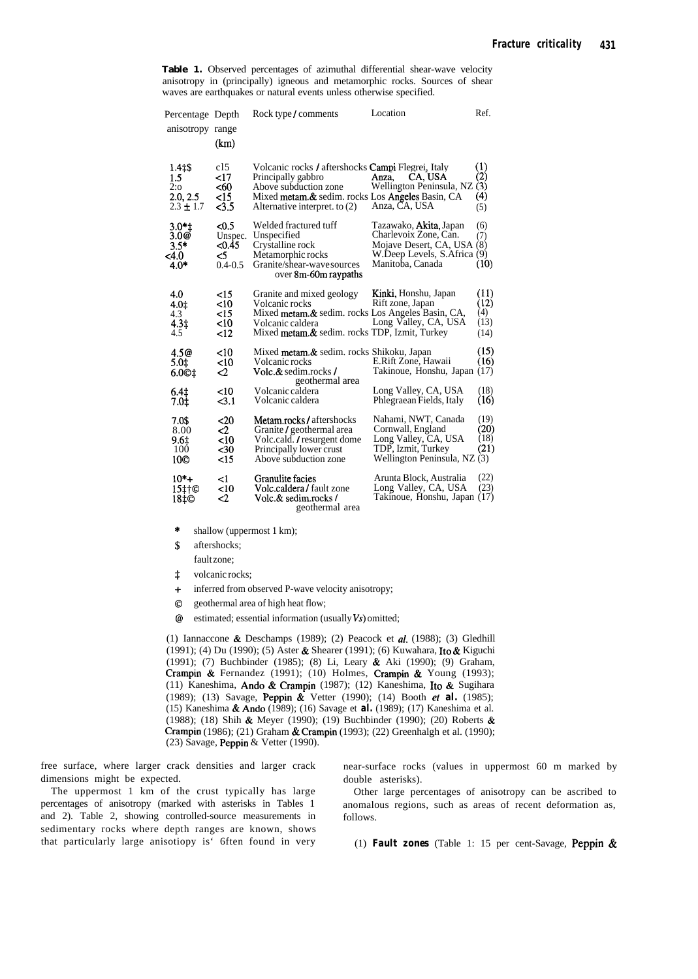Table 1. Observed percentages of azimuthal differential shear-wave velocity anisotropy in (principally) igneous and metamorphic rocks. Sources of shear waves are earthquakes or natural events unless otherwise specified.

| Percentage Depth<br>anisotropy range              | (km)                                                | Rock type / comments                                                                                                                                                                     | Location                                                                                                                                | Ref.                                      |
|---------------------------------------------------|-----------------------------------------------------|------------------------------------------------------------------------------------------------------------------------------------------------------------------------------------------|-----------------------------------------------------------------------------------------------------------------------------------------|-------------------------------------------|
| 1.4‡\$<br>1.5<br>2:0<br>2.0, 2.5<br>$2.3 \pm 1.7$ | c <sub>15</sub><br><17<br><60<br>$<$ 15<br>3.5      | Volcanic rocks / aftershocks Campi Flegrei, Italy<br>Principally gabbro<br>Above subduction zone<br>Mixed metam. & sedim. rocks Los Angeles Basin, CA<br>Alternative interpret. to $(2)$ | Anza,<br>CA, USA<br>Wellington Peninsula, NZ (3)<br>Anza, CA, USA                                                                       | $\left(1\right)$<br>$\r(2)$<br>(4)<br>(5) |
| $3.0*$<br>3.0@<br>$3.5*$<br><4.0<br>$4.0*$        | $0.5$<br>Unspec.<br>< 0.45<br>$\leq$<br>$0.4 - 0.5$ | Welded fractured tuff<br>Unspecified<br>Crystalline rock<br>Metamorphic rocks<br>Granite/shear-wave sources<br>over 8m-60m raypaths                                                      | Tazawako, <b>Akita,</b> Japan<br>Charlevoix Zone, Can.<br>Mojave Desert, CA, USA (8)<br>W.Deep Levels, S.Africa (9)<br>Manitoba, Canada | (6)<br>(7)<br>(10)                        |
| 4.0<br>4.0‡<br>4.3<br>$4.3\ddagger$<br>4.5        | $<$ 15<br><10<br><15<br>< 10<br>< 12                | Granite and mixed geology<br>Volcanic rocks<br>Mixed metam.& sedim. rocks Los Angeles Basin, CA,<br>Volcanic caldera<br>Mixed metam.& sedim. rocks TDP, Izmit, Turkey                    | Kinki, Honshu, Japan<br>Rift zone, Japan<br>Long Valley, CA, USA                                                                        | (11)<br>(12)<br>(4)<br>(13)<br>(14)       |
| 4.5@<br>5.0‡<br>6.0©‡                             | $<$ 10<br><10<br>$\mathcal{L}$                      | Mixed metam.& sedim. rocks Shikoku, Japan<br>Volcanic rocks<br>Volc.& sedim.rocks /<br>geothermal area                                                                                   | E.Rift Zone, Hawaii<br>Takinoue, Honshu, Japan (17)                                                                                     | (15)<br>(16)                              |
| 6.4‡<br>7.0‡                                      | $<$ 10<br><3.1                                      | Volcanic caldera<br>Volcanic caldera                                                                                                                                                     | Long Valley, CA, USA<br>Phlegraean Fields, Italy                                                                                        | (18)<br>(16)                              |
| 7.0\$<br>8.00<br>$9.6+$<br>100<br>10 <sup>°</sup> | $20$<br>$\mathbf{<}2$<br><10<br>$30$<br><15         | Metam.rocks/aftershocks<br>Granite / geothermal area<br>Volc.cald. / resurgent dome<br>Principally lower crust<br>Above subduction zone                                                  | Nahami, NWT, Canada<br>Cornwall, England<br>Long Valley, CA, USA<br>TDP, Izmit, Turkey<br>Wellington Peninsula, NZ (3)                  | (19)<br>(20)<br>(18)<br>(21)              |
| $10^{*}+$<br>$15 \sharp \dagger \circ$<br>18‡©    | <1<br>$<$ 10<br><2                                  | Granulite facies<br>Volc.caldera / fault zone<br>Volc.& sedim.rocks/<br>geothermal area                                                                                                  | Arunta Block, Australia<br>Long Valley, CA, USA<br>Takinoue, Honshu, Japan (17)                                                         | (22)<br>(23)                              |

- shallow (uppermost 1 km);
- \$ aftershocks;

fault zone;

- **\$** volcanic rocks;
- + inferred from observed P-wave velocity anisotropy;
- 0 geothermal area of high heat flow;
- @ estimated; essential information (usually *Vs)* omitted;

(1) Iannaccone & Deschamps (1989); (2) Peacock et al. (1988); (3) Gledhill (1991); (4) Du (1990); (5) Aster & Shearer (1991); (6) Kuwahara, Ito & Kiguchi (1991); (7) Buchbinder (1985); (8) Li, Leary & Aki (1990); (9) Graham, Crampin & Fernandez (1991); (10) Holmes, Crampin & Young (1993); (11) Kaneshima, Ando & Crampin (1987); (12) Kaneshima, Ito & Sugihara (1989); (13) Savage, Peppin & Vetter (1990); (14) Booth ef *al.* (1985); (15) Kaneshima & Ando (1989); (16) Savage et *al.* (1989); (17) Kaneshima et al. (1988); (18) Shih & Meyer (1990); (19) Buchbinder (1990); (20) Roberts & Crampin (1986); (21) Graham & Crampin (1993); (22) Greenhalgh et al. (1990); (23) Savage, Peppin & Vetter (1990).

free surface, where larger crack densities and larger crack dimensions might be expected.

The uppermost 1 km of the crust typically has large percentages of anisotropy (marked with asterisks in Tables 1 and 2). Table 2, showing controlled-source measurements in sedimentary rocks where depth ranges are known, shows that particularly large anisotiopy is' 6ften found in very

near-surface rocks (values in uppermost 60 m marked by double asterisks).

Other large percentages of anisotropy can be ascribed to anomalous regions, such as areas of recent deformation as, follows.

(1) *Fault zones* (Table 1: 15 per cent-Savage, Peppin &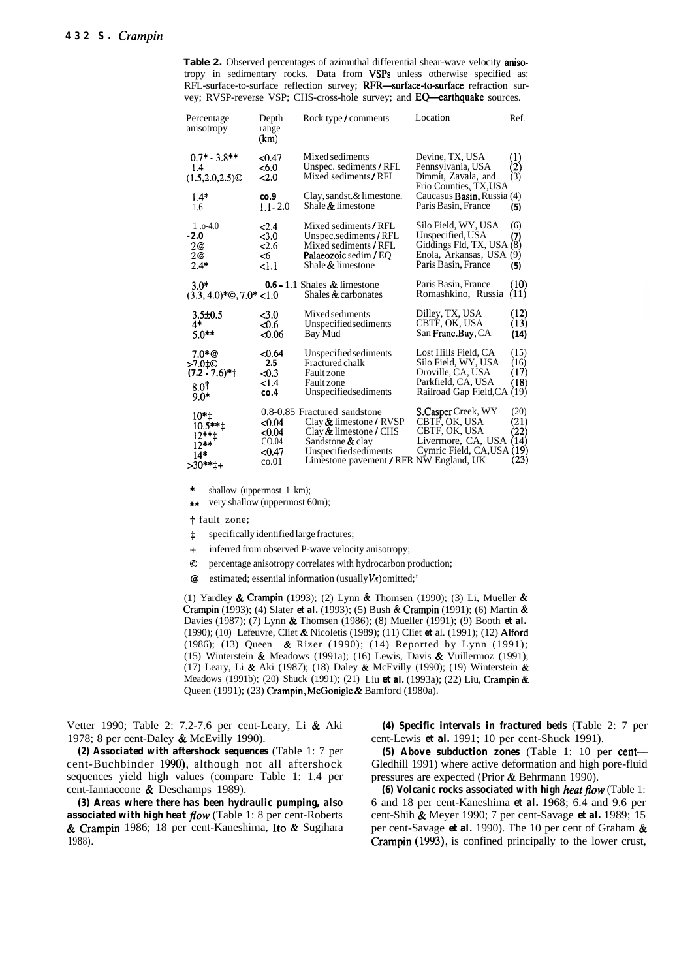**Table 2.** Observed percentages of azimuthal differential shear-wave velocity anisotropy in sedimentary rocks. Data from VSPs unless otherwise specified as: RFL-surface-to-surface reflection survey; RFR-surface-to-surface refraction survey; RVSP-reverse VSP; CHS-cross-hole survey; and EQ-earthquake sources.

| Percentage<br>anisotropy                                              | Depth<br>range<br>(km)                      | Rock type / comments                                                                                                                                                      | Location                                                                                                                | Ref.                         |
|-----------------------------------------------------------------------|---------------------------------------------|---------------------------------------------------------------------------------------------------------------------------------------------------------------------------|-------------------------------------------------------------------------------------------------------------------------|------------------------------|
| $0.7* - 3.8**$<br>1.4<br>$(1.5, 2.0, 2.5)$ ©                          | < 0.47<br>< 6.0<br>$2.0$                    | Mixed sediments<br>Unspec. sediments / RFL<br>Mixed sediments / RFL                                                                                                       | Devine, TX, USA<br>Pennsylvania, USA<br>Dimmit, Zavala, and<br>Frio Counties, TX, USA                                   | (1)<br>(2)<br>(3)            |
| $1.4*$<br>1.6                                                         | co.9<br>$1.1 - 2.0$                         | Clay, sandst. & limestone.<br>Shale & limestone                                                                                                                           | Caucasus <b>Basin</b> , Russia (4)<br>Paris Basin, France                                                               | (5)                          |
| $1.0 - 4.0$<br>$-2.0$<br>2@<br>2@<br>$2.4*$                           | < 2.4<br>$3.0$<br>2.6<br><6<br>< 1.1        | Mixed sediments / RFL<br>Unspec.sediments / RFL<br>Mixed sediments / RFL<br>Palaeozoic sedim / EQ<br>Shale & limestone                                                    | Silo Field, WY, USA<br>Unspecified, USA<br>Giddings Fld, TX, USA (8)<br>Enola, Arkansas, USA (9)<br>Paris Basin, France | (6)<br>(7)<br>(5)            |
| $3.0*$<br>$(3.3, 4.0)^*$ ©, 7.0* <1.0                                 |                                             | $0.6 - 1.1$ Shales $\&$ limestone<br>Shales & carbonates                                                                                                                  | Paris Basin, France<br>Romashkino, Russia                                                                               | (10)<br>(11)                 |
| $3.5 \pm 0.5$<br>4*<br>$5.0**$                                        | < 3.0<br>< 0.6<br>< 0.06                    | Mixed sediments<br>Unspecifiedsediments<br>Bay Mud                                                                                                                        | Dilley, TX, USA<br>CBTF, OK, USA<br>San Franc.Bay, CA                                                                   | (12)<br>(13)<br>(14)         |
| $7.0*@$<br>$>7.0$ ‡©<br>$(7.2 - 7.6)$ *†<br>$8.0^{\dagger}$<br>$9.0*$ | <0.64<br>2.5<br>< 0.3<br>1.4<br>co.4        | Unspecifiedsediments<br>Fractured chalk<br>Fault zone<br><b>Fault</b> zone<br>Unspecifiedsediments                                                                        | Lost Hills Field, CA<br>Silo Field, WY, USA<br>Oroville, CA, USA<br>Parkfield, CA, USA<br>Railroad Gap Field, CA (19)   | (15)<br>(16)<br>(17)<br>(18) |
| $10*1$<br>$10.5***$<br>$12***$<br>$12***$<br>$14*$<br>$>30***+$       | <0.04<br>< 0.04<br>CO.04<br>< 0.47<br>co.01 | 0.8-0.85 Fractured sandstone<br>Clay & limestone / RVSP<br>Clay & limestone / CHS<br>Sandstone & clay<br>Unspecified sediments<br>Limestone pavement / RFR NW England, UK | S.Casper Creek, WY<br>CBTF, OK, USA<br>CBTF, OK, USA<br>Livermore, CA, USA (14)<br>Cymric Field, CA, USA (19)           | (20)<br>(21)<br>(22)<br>(23) |

\* shallow (uppermost 1 km);

\*\* very shallow (uppermost 60m);

t fault zone;

- $\ddagger$  specifically identified large fractures;
- + inferred from observed P-wave velocity anisotropy;
- 0 percentage anisotropy correlates with hydrocarbon production;
- @ estimated; essential information (usually *Vs)* omitted;'

(1) Yardley & Crampin (1993); (2) Lynn & Thomsen (1990); (3) Li, Mueller & Crampin (1993); (4) Slater *et al.* (1993); (5) Bush & Crampin (1991); (6) Martin & Davies (1987); (7) Lynn & Thomsen (1986); (8) Mueller (1991); (9) Booth *et al.* (1990); (10) Lefeuvre, Cliet & Nicoletis (1989); (11) Cliet *et al.* (1991); (12) Alford (1986); (13) Queen & Rizer (1990); (14) Reported by Lynn (1991); (15) Winterstein & Meadows (1991a); (16) Lewis, Davis & Vuillermoz (1991); (17) Leary, Li & Aki (1987); (18) Daley & McEvilly (1990); (19) Winterstein & Meadows (1991b); (20) Shuck (1991); (21) Liu *et al.* (1993a); (22) Liu, Crampin & Queen (1991); (23) Crampin, McGonigle & Bamford (1980a).

Vetter 1990; Table 2: 7.2-7.6 per cent-Leary, Li & Aki 1978; 8 per cent-Daley & McEvilly 1990).

*(2) Associated with aftershock sequences* (Table 1: 7 per cent-Buchbinder 1990), although not all aftershock sequences yield high values (compare Table 1: 1.4 per cent-Iannaccone & Deschamps 1989).

*(3) Areas where there has been hydraulic pumping, also associated with high heat* flow (Table 1: 8 per cent-Roberts & Crampin 1986; 18 per cent-Kaneshima, Ito & Sugihara 1988).

*(4) Specific intervals in fractured beds* (Table 2: 7 per cent-Lewis *et al.* 1991; 10 per cent-Shuck 1991).

*(5) Above subduction zones* (Table 1: 10 per cent-Gledhill 1991) where active deformation and high pore-fluid pressures are expected (Prior & Behrmann 1990).

**(6) Volcanic rocks associated with high heat flow** (Table 1: 6 and 18 per cent-Kaneshima *et al.* 1968; 6.4 and 9.6 per cent-Shih & Meyer 1990; 7 per cent-Savage *et al.* 1989; 15 per cent-Savage *et al.* 1990). The 10 per cent of Graham & Crampin (1993), is confined principally to the lower crust,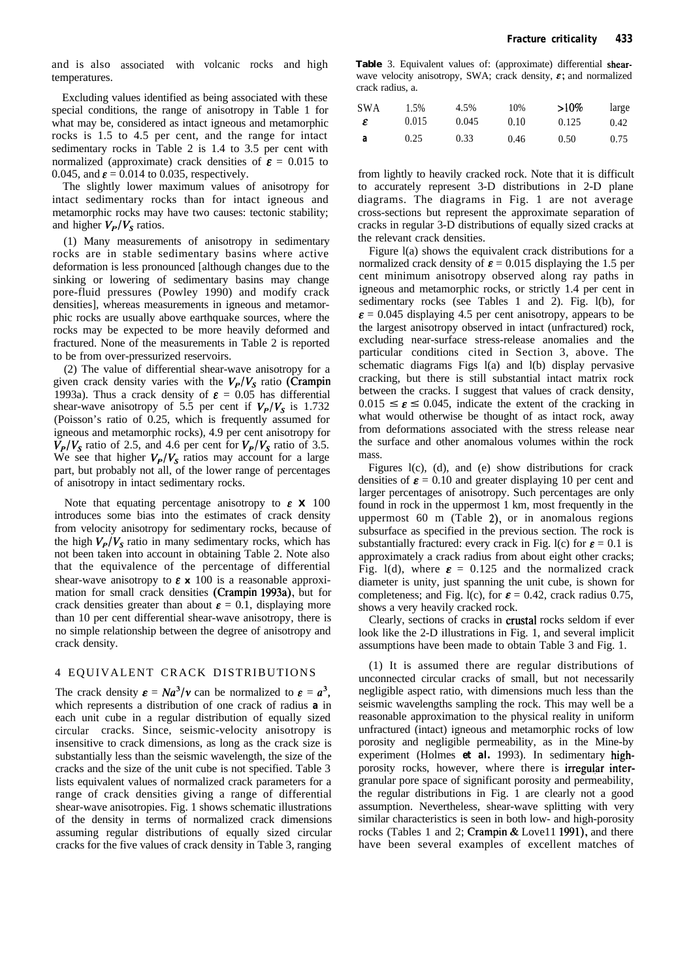and is also associated with volcanic rocks and high temperatures.

Excluding values identified as being associated with these special conditions, the range of anisotropy in Table 1 for what may be, considered as intact igneous and metamorphic rocks is 1.5 to 4.5 per cent, and the range for intact sedimentary rocks in Table 2 is 1.4 to 3.5 per cent with normalized (approximate) crack densities of  $\epsilon = 0.015$  to 0.045, and  $\epsilon$  = 0.014 to 0.035, respectively.

The slightly lower maximum values of anisotropy for intact sedimentary rocks than for intact igneous and metamorphic rocks may have two causes: tectonic stability; and higher  $V_P/V_S$  ratios.

(1) Many measurements of anisotropy in sedimentary rocks are in stable sedimentary basins where active deformation is less pronounced [although changes due to the sinking or lowering of sedimentary basins may change pore-fluid pressures (Powley 1990) and modify crack densities], whereas measurements in igneous and metamorphic rocks are usually above earthquake sources, where the rocks may be expected to be more heavily deformed and fractured. None of the measurements in Table 2 is reported to be from over-pressurized reservoirs.

(2) The value of differential shear-wave anisotropy for a given crack density varies with the  $V_P/V_S$  ratio (Crampin 1993a). Thus a crack density of  $\varepsilon = 0.05$  has differential shear-wave anisotropy of 5.5 per cent if  $V_P/V_S$  is 1.732 (Poisson's ratio of 0.25, which is frequently assumed for igneous and metamorphic rocks), 4.9 per cent anisotropy for  $V_P/V_S$  ratio of 2.5, and 4.6 per cent for  $V_P/V_S$  ratio of 3.5. We see that higher  $V_P/V_S$  ratios may account for a large part, but probably not all, of the lower range of percentages of anisotropy in intact sedimentary rocks.

Note that equating percentage anisotropy to  $\varepsilon \times 100$ introduces some bias into the estimates of crack density from velocity anisotropy for sedimentary rocks, because of the high  $V_P/V_S$  ratio in many sedimentary rocks, which has not been taken into account in obtaining Table 2. Note also that the equivalence of the percentage of differential shear-wave anisotropy to  $\varepsilon \times 100$  is a reasonable approximation for small crack densities (Crampin 1993a), but for crack densities greater than about  $\boldsymbol{\varepsilon} = 0.1$ , displaying more than 10 per cent differential shear-wave anisotropy, there is no simple relationship between the degree of anisotropy and crack density.

#### 4 EQUIVALENT CRACK DISTRIBUTIONS

The crack density  $\epsilon = Na^3/v$  can be normalized to  $\epsilon = a^3$ , which represents a distribution of one crack of radius *a* in each unit cube in a regular distribution of equally sized circular cracks. Since, seismic-velocity anisotropy is insensitive to crack dimensions, as long as the crack size is substantially less than the seismic wavelength, the size of the cracks and the size of the unit cube is not specified. Table 3 lists equivalent values of normalized crack parameters for a range of crack densities giving a range of differential shear-wave anisotropies. Fig. 1 shows schematic illustrations of the density in terms of normalized crack dimensions assuming regular distributions of equally sized circular cracks for the five values of crack density in Table 3, ranging

**Table** 3. Equivalent values of: (approximate) differential shearwave velocity anisotropy, SWA; crack density,  $\varepsilon$ ; and normalized crack radius, a.

| <b>SWA</b> | 1.5%  | 4.5%  | 10%  | $>10\%$ | large |
|------------|-------|-------|------|---------|-------|
| ε          | 0.015 | 0.045 | 0.10 | 0.125   | 0.42  |
| a          | 0.25  | 0.33  | 0.46 | 0.50    | 0.75  |

from lightly to heavily cracked rock. Note that it is difficult to accurately represent 3-D distributions in 2-D plane diagrams. The diagrams in Fig. 1 are not average cross-sections but represent the approximate separation of cracks in regular 3-D distributions of equally sized cracks at the relevant crack densities.

Figure l(a) shows the equivalent crack distributions for a normalized crack density of  $\epsilon$  = 0.015 displaying the 1.5 per cent minimum anisotropy observed along ray paths in igneous and metamorphic rocks, or strictly 1.4 per cent in sedimentary rocks (see Tables 1 and 2). Fig. l(b), for  $\epsilon$  = 0.045 displaying 4.5 per cent anisotropy, appears to be the largest anisotropy observed in intact (unfractured) rock, excluding near-surface stress-release anomalies and the particular conditions cited in Section 3, above. The schematic diagrams Figs l(a) and l(b) display pervasive cracking, but there is still substantial intact matrix rock between the cracks. I suggest that values of crack density,  $0.015 \le \varepsilon \le 0.045$ , indicate the extent of the cracking in what would otherwise be thought of as intact rock, away from deformations associated with the stress release near the surface and other anomalous volumes within the rock mass.

Figures l(c), (d), and (e) show distributions for crack densities of  $\epsilon = 0.10$  and greater displaying 10 per cent and larger percentages of anisotropy. Such percentages are only found in rock in the uppermost 1 km, most frequently in the uppermost 60 m (Table 2), or in anomalous regions subsurface as specified in the previous section. The rock is substantially fractured: every crack in Fig. l(c) for  $\varepsilon = 0.1$  is approximately a crack radius from about eight other cracks; Fig. 1(d), where  $\epsilon = 0.125$  and the normalized crack diameter is unity, just spanning the unit cube, is shown for completeness; and Fig. 1(c), for  $\varepsilon = 0.42$ , crack radius 0.75, shows a very heavily cracked rock.

Clearly, sections of cracks in crustal rocks seldom if ever look like the 2-D illustrations in Fig. 1, and several implicit assumptions have been made to obtain Table 3 and Fig. 1.

(1) It is assumed there are regular distributions of unconnected circular cracks of small, but not necessarily negligible aspect ratio, with dimensions much less than the seismic wavelengths sampling the rock. This may well be a reasonable approximation to the physical reality in uniform unfractured (intact) igneous and metamorphic rocks of low porosity and negligible permeability, as in the Mine-by experiment (Holmes *et al.* 1993). In sedimentary highporosity rocks, however, where there is irregular intergranular pore space of significant porosity and permeability, the regular distributions in Fig. 1 are clearly not a good assumption. Nevertheless, shear-wave splitting with very similar characteristics is seen in both low- and high-porosity rocks (Tables 1 and 2; Crampin & Love11 1991), and there have been several examples of excellent matches of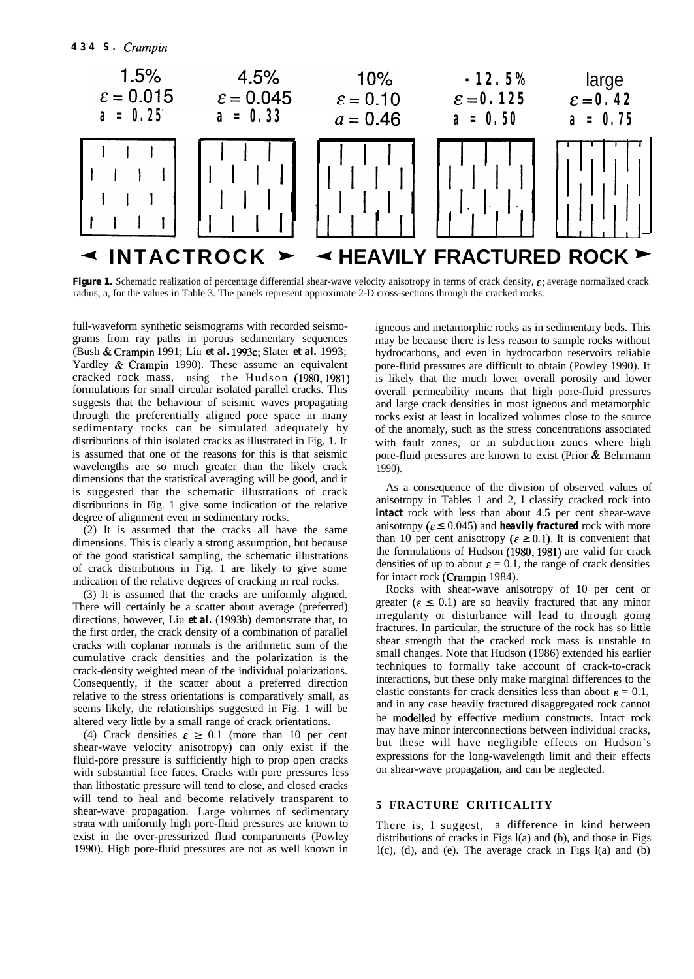

Figure 1. Schematic realization of percentage differential shear-wave velocity anisotropy in terms of crack density,  $\varepsilon$ ; average normalized crack radius, a, for the values in Table 3. The panels represent approximate 2-D cross-sections through the cracked rocks.

full-waveform synthetic seismograms with recorded seismograms from ray paths in porous sedimentary sequences (Bush & Crampin 1991; Liu *et al.* 1993; Slater *et al.* 1993; Yardley & Crampin 1990). These assume an equivalent cracked rock mass, using the Hudson (1980,198l) formulations for small circular isolated parallel cracks. This suggests that the behaviour of seismic waves propagating through the preferentially aligned pore space in many sedimentary rocks can be simulated adequately by distributions of thin isolated cracks as illustrated in Fig. 1. It is assumed that one of the reasons for this is that seismic wavelengths are so much greater than the likely crack dimensions that the statistical averaging will be good, and it is suggested that the schematic illustrations of crack distributions in Fig. 1 give some indication of the relative degree of alignment even in sedimentary rocks.

(2) It is assumed that the cracks all have the same dimensions. This is clearly a strong assumption, but because of the good statistical sampling, the schematic illustrations of crack distributions in Fig. 1 are likely to give some indication of the relative degrees of cracking in real rocks.

(3) It is assumed that the cracks are uniformly aligned. There will certainly be a scatter about average (preferred) directions, however, Liu *et al.* (1993b) demonstrate that, to the first order, the crack density of a combination of parallel cracks with coplanar normals is the arithmetic sum of the cumulative crack densities and the polarization is the crack-density weighted mean of the individual polarizations. Consequently, if the scatter about a preferred direction relative to the stress orientations is comparatively small, as seems likely, the relationships suggested in Fig. 1 will be altered very little by a small range of crack orientations.

(4) Crack densities  $\epsilon \geq 0.1$  (more than 10 per cent shear-wave velocity anisotropy) can only exist if the fluid-pore pressure is sufficiently high to prop open cracks with substantial free faces. Cracks with pore pressures less than lithostatic pressure will tend to close, and closed cracks will tend to heal and become relatively transparent to shear-wave propagation. Large volumes of sedimentary strata with uniformly high pore-fluid pressures are known to exist in the over-pressurized fluid compartments (Powley 1990). High pore-fluid pressures are not as well known in

igneous and metamorphic rocks as in sedimentary beds. This may be because there is less reason to sample rocks without hydrocarbons, and even in hydrocarbon reservoirs reliable pore-fluid pressures are difficult to obtain (Powley 1990). It is likely that the much lower overall porosity and lower overall permeability means that high pore-fluid pressures and large crack densities in most igneous and metamorphic rocks exist at least in localized volumes close to the source of the anomaly, such as the stress concentrations associated with fault zones, or in subduction zones where high pore-fluid pressures are known to exist (Prior & Behrmann 1990).

As a consequence of the division of observed values of anisotropy in Tables 1 and 2, I classify cracked rock into *intact* rock with less than about 4.5 per cent shear-wave anisotropy ( $\varepsilon \le 0.045$ ) and **heavily fractured** rock with more than 10 per cent anisotropy ( $\varepsilon \ge 0.1$ ). It is convenient that the formulations of Hudson (1980,198l) are valid for crack densities of up to about  $\epsilon = 0.1$ , the range of crack densities for intact rock (Crampin 1984).

Rocks with shear-wave anisotropy of 10 per cent or greater ( $\varepsilon \le 0.1$ ) are so heavily fractured that any minor irregularity or disturbance will lead to through going fractures. In particular, the structure of the rock has so little shear strength that the cracked rock mass is unstable to small changes. Note that Hudson (1986) extended his earlier techniques to formally take account of crack-to-crack interactions, but these only make marginal differences to the elastic constants for crack densities less than about  $\epsilon = 0.1$ , and in any case heavily fractured disaggregated rock cannot be modelled by effective medium constructs. Intact rock may have minor interconnections between individual cracks, but these will have negligible effects on Hudson's expressions for the long-wavelength limit and their effects on shear-wave propagation, and can be neglected.

## **5 FRACTURE CRITICALITY**

There is, I suggest, a difference in kind between distributions of cracks in Figs l(a) and (b), and those in Figs  $l(c)$ , (d), and (e). The average crack in Figs  $l(a)$  and (b)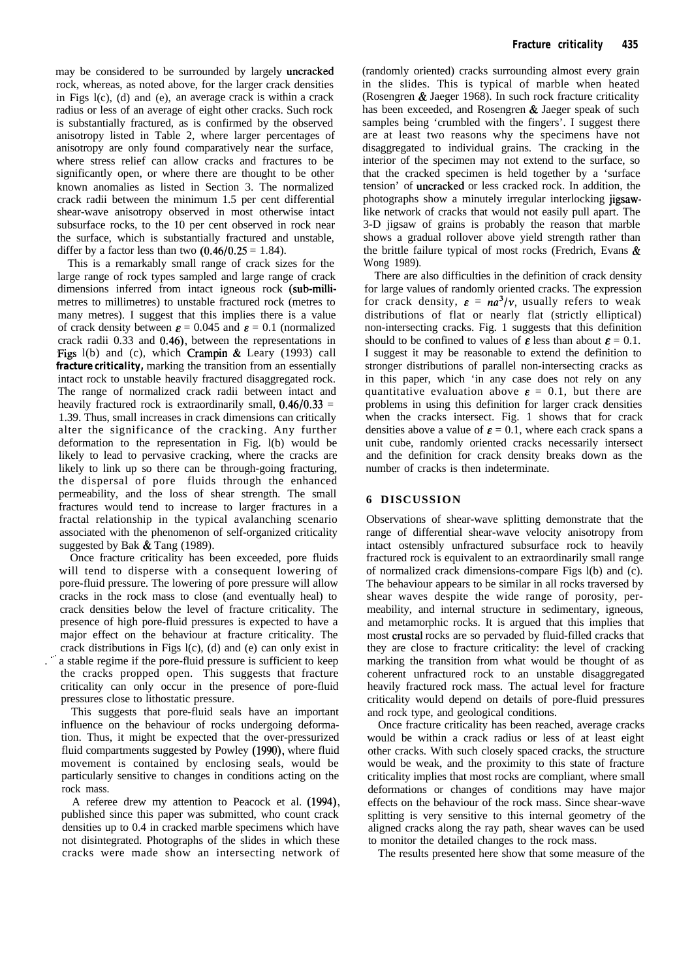may be considered to be surrounded by largely uncracked rock, whereas, as noted above, for the larger crack densities in Figs l(c), (d) and (e), an average crack is within a crack radius or less of an average of eight other cracks. Such rock is substantially fractured, as is confirmed by the observed anisotropy listed in Table 2, where larger percentages of anisotropy are only found comparatively near the surface, where stress relief can allow cracks and fractures to be significantly open, or where there are thought to be other known anomalies as listed in Section 3. The normalized crack radii between the minimum 1.5 per cent differential shear-wave anisotropy observed in most otherwise intact subsurface rocks, to the 10 per cent observed in rock near the surface, which is substantially fractured and unstable, differ by a factor less than two  $(0.46/0.25 = 1.84)$ .

This is a remarkably small range of crack sizes for the large range of rock types sampled and large range of crack dimensions inferred from intact igneous rock (sub-millimetres to millimetres) to unstable fractured rock (metres to many metres). I suggest that this implies there is a value of crack density between  $\epsilon = 0.045$  and  $\epsilon = 0.1$  (normalized crack radii 0.33 and 0.46), between the representations in .Figs l(b) and (c), which Crampin & Leary (1993) call *fracture criticality,* marking the transition from an essentially intact rock to unstable heavily fractured disaggregated rock. The range of normalized crack radii between intact and heavily fractured rock is extraordinarily small,  $0.46/0.33 =$ 1.39. Thus, small increases in crack dimensions can critically alter the significance of the cracking. Any further deformation to the representation in Fig. l(b) would be likely to lead to pervasive cracking, where the cracks are likely to link up so there can be through-going fracturing, the dispersal of pore fluids through the enhanced permeability, and the loss of shear strength. The small fractures would tend to increase to larger fractures in a fractal relationship in the typical avalanching scenario associated with the phenomenon of self-organized criticality suggested by Bak & Tang (1989).

Once fracture criticality has been exceeded, pore fluids will tend to disperse with a consequent lowering of pore-fluid pressure. The lowering of pore pressure will allow cracks in the rock mass to close (and eventually heal) to crack densities below the level of fracture criticality. The presence of high pore-fluid pressures is expected to have a major effect on the behaviour at fracture criticality. The crack distributions in Figs l(c), (d) and (e) can only exist in a stable regime if the pore-fluid pressure is sufficient to keep the cracks propped open. This suggests that fracture criticality can only occur in the presence of pore-fluid pressures close to lithostatic pressure.

This suggests that pore-fluid seals have an important influence on the behaviour of rocks undergoing deformation. Thus, it might be expected that the over-pressurized fluid compartments suggested by Powley (1990), where fluid movement is contained by enclosing seals, would be particularly sensitive to changes in conditions acting on the rock mass.

A referee drew my attention to Peacock et al. (1994), published since this paper was submitted, who count crack densities up to 0.4 in cracked marble specimens which have not disintegrated. Photographs of the slides in which these cracks were made show an intersecting network of (randomly oriented) cracks surrounding almost every grain in the slides. This is typical of marble when heated (Rosengren & Jaeger 1968). In such rock fracture criticality has been exceeded, and Rosengren & Jaeger speak of such samples being 'crumbled with the fingers'. I suggest there are at least two reasons why the specimens have not disaggregated to individual grains. The cracking in the interior of the specimen may not extend to the surface, so that the cracked specimen is held together by a 'surface tension' of **uncracked** or less cracked rock. In addition, the photographs show a minutely irregular interlocking jigsawlike network of cracks that would not easily pull apart. The 3-D jigsaw of grains is probably the reason that marble shows a gradual rollover above yield strength rather than the brittle failure typical of most rocks (Fredrich, Evans  $\&$ Wong 1989).

There are also difficulties in the definition of crack density for large values of randomly oriented cracks. The expression for crack density,  $\varepsilon = na^3/v$ , usually refers to weak distributions of flat or nearly flat (strictly elliptical) non-intersecting cracks. Fig. 1 suggests that this definition should to be confined to values of  $\varepsilon$  less than about  $\varepsilon = 0.1$ . I suggest it may be reasonable to extend the definition to stronger distributions of parallel non-intersecting cracks as in this paper, which 'in any case does not rely on any quantitative evaluation above  $\varepsilon = 0.1$ , but there are problems in using this definition for larger crack densities when the cracks intersect. Fig. 1 shows that for crack densities above a value of  $\epsilon = 0.1$ , where each crack spans a unit cube, randomly oriented cracks necessarily intersect and the definition for crack density breaks down as the number of cracks is then indeterminate.

## **6 DISCUSSION**

Observations of shear-wave splitting demonstrate that the range of differential shear-wave velocity anisotropy from intact ostensibly unfractured subsurface rock to heavily fractured rock is equivalent to an extraordinarily small range of normalized crack dimensions-compare Figs l(b) and (c). The behaviour appears to be similar in all rocks traversed by shear waves despite the wide range of porosity, permeability, and internal structure in sedimentary, igneous, and metamorphic rocks. It is argued that this implies that most crustal rocks are so pervaded by fluid-filled cracks that they are close to fracture criticality: the level of cracking marking the transition from what would be thought of as coherent unfractured rock to an unstable disaggregated heavily fractured rock mass. The actual level for fracture criticality would depend on details of pore-fluid pressures and rock type, and geological conditions.

Once fracture criticality has been reached, average cracks would be within a crack radius or less of at least eight other cracks. With such closely spaced cracks, the structure would be weak, and the proximity to this state of fracture criticality implies that most rocks are compliant, where small deformations or changes of conditions may have major effects on the behaviour of the rock mass. Since shear-wave splitting is very sensitive to this internal geometry of the aligned cracks along the ray path, shear waves can be used to monitor the detailed changes to the rock mass.

The results presented here show that some measure of the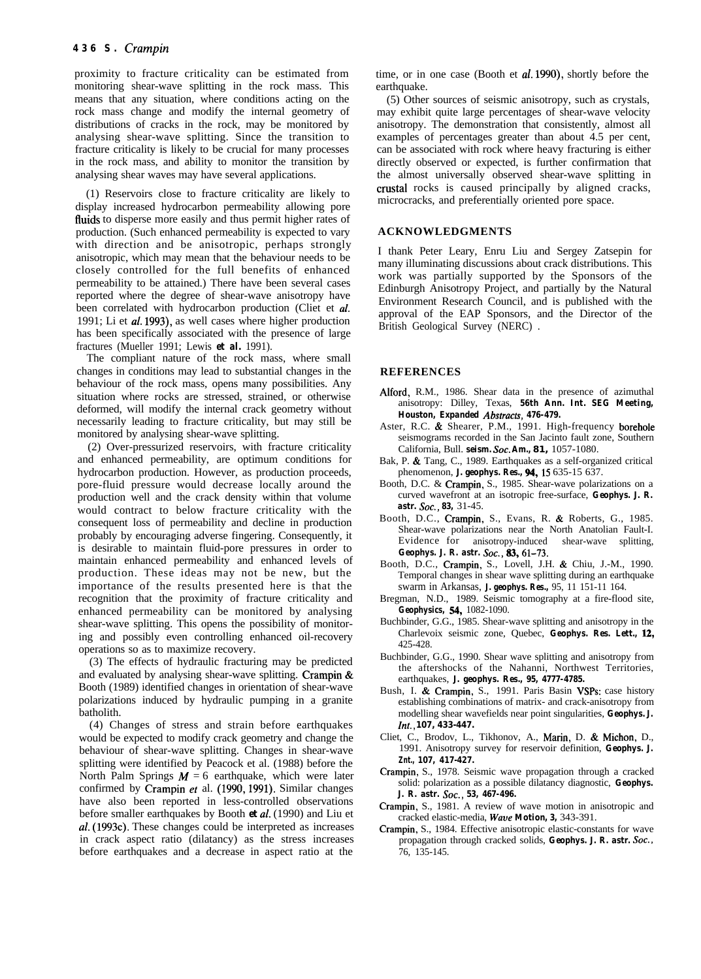proximity to fracture criticality can be estimated from monitoring shear-wave splitting in the rock mass. This means that any situation, where conditions acting on the rock mass change and modify the internal geometry of distributions of cracks in the rock, may be monitored by analysing shear-wave splitting. Since the transition to fracture criticality is likely to be crucial for many processes in the rock mass, and ability to monitor the transition by analysing shear waves may have several applications.

(1) Reservoirs close to fracture criticality are likely to display increased hydrocarbon permeability allowing pore fluids to disperse more easily and thus permit higher rates of production. (Such enhanced permeability is expected to vary with direction and be anisotropic, perhaps strongly anisotropic, which may mean that the behaviour needs to be closely controlled for the full benefits of enhanced permeability to be attained.) There have been several cases reported where the degree of shear-wave anisotropy have been correlated with hydrocarbon production (Cliet et al. 1991; Li et *al.* 1993), as well cases where higher production has been specifically associated with the presence of large fractures (Mueller 1991; Lewis *et al.* 1991).

The compliant nature of the rock mass, where small changes in conditions may lead to substantial changes in the behaviour of the rock mass, opens many possibilities. Any situation where rocks are stressed, strained, or otherwise deformed, will modify the internal crack geometry without necessarily leading to fracture criticality, but may still be monitored by analysing shear-wave splitting.

(2) Over-pressurized reservoirs, with fracture criticality and enhanced permeability, are optimum conditions for hydrocarbon production. However, as production proceeds, pore-fluid pressure would decrease locally around the production well and the crack density within that volume would contract to below fracture criticality with the consequent loss of permeability and decline in production probably by encouraging adverse fingering. Consequently, it is desirable to maintain fluid-pore pressures in order to maintain enhanced permeability and enhanced levels of production. These ideas may not be new, but the importance of the results presented here is that the recognition that the proximity of fracture criticality and enhanced permeability can be monitored by analysing shear-wave splitting. This opens the possibility of monitoring and possibly even controlling enhanced oil-recovery operations so as to maximize recovery.

(3) The effects of hydraulic fracturing may be predicted and evaluated by analysing shear-wave splitting. Crampin & Booth (1989) identified changes in orientation of shear-wave polarizations induced by hydraulic pumping in a granite batholith.

(4) Changes of stress and strain before earthquakes would be expected to modify crack geometry and change the behaviour of shear-wave splitting. Changes in shear-wave splitting were identified by Peacock et al. (1988) before the North Palm Springs  $M = 6$  earthquake, which were later confirmed by Crampin et al. (1990, 1991). Similar changes have also been reported in less-controlled observations before smaller earthquakes by Booth *et* al. (1990) and Liu et al. (1993c). These changes could be interpreted as increases in crack aspect ratio (dilatancy) as the stress increases before earthquakes and a decrease in aspect ratio at the

time, or in one case (Booth et  $al.$  1990), shortly before the earthquake.

(5) Other sources of seismic anisotropy, such as crystals, may exhibit quite large percentages of shear-wave velocity anisotropy. The demonstration that consistently, almost all examples of percentages greater than about 4.5 per cent, can be associated with rock where heavy fracturing is either directly observed or expected, is further confirmation that the almost universally observed shear-wave splitting in crustal rocks is caused principally by aligned cracks, microcracks, and preferentially oriented pore space.

## **ACKNOWLEDGMENTS**

I thank Peter Leary, Enru Liu and Sergey Zatsepin for many illuminating discussions about crack distributions. This work was partially supported by the Sponsors of the Edinburgh Anisotropy Project, and partially by the Natural Environment Research Council, and is published with the approval of the EAP Sponsors, and the Director of the British Geological Survey (NERC) .

#### **REFERENCES**

- Alford, R.M., 1986. Shear data in the presence of azimuthal anisotropy: Dilley, Texas, *56th Ann. Int. SEG Meeting, Houston, Expanded Abstracfi, 476-479.*
- Aster, R.C. & Shearer, P.M., 1991. High-frequency borehole seismograms recorded in the San Jacinto fault zone, Southern California, Bull. *seism. Sot. Am.,* **81,** 1057-1080.
- Bak, P. & Tang, C., 1989. Earthquakes as a self-organized critical phenomenon, *J. geophys. Res.*, 94, 15 635-15 637.
- Booth, D.C. & Crampin, S., 1985. Shear-wave polarizations on a curved wavefront at an isotropic free-surface, *Geophys. J. R. astr. Sot., 83,* 31-45.
- Booth, D.C., Crampin, S., Evans, R. & Roberts, G., 1985. Shear-wave polarizations near the North Anatolian Fault-I. Evidence for anisotropy-induced shear-wave splitting, *Geophys. J. R. astr. Sot., 83,61-73.*
- Booth, D.C., Crampin, S., Lovell, J.H. & Chiu, J.-M., 1990. Temporal changes in shear wave splitting during an earthquake swarm in Arkansas, *J. geophys. Res.,* 95, 11 151-11 164.
- Bregman, N.D., 1989. Seismic tomography at a fire-flood site, *Geophysics, 54,* 1082-1090.
- Buchbinder, G.G., 1985. Shear-wave splitting and anisotropy in the Charlevoix seismic zone, Quebec, *Geophys. Res. Lett., l2,* 425-428.
- Buchbinder, G.G., 1990. Shear wave splitting and anisotropy from the aftershocks of the Nahanni, Northwest Territories, earthquakes, *J. geophys. Res., 95, 4777-4785.*
- Bush, I. & Crampin, S., 1991. Paris Basin VSPs: case history establishing combinations of matrix- and crack-anisotropy from modelling shear wavefields near point singularities, *Geophys. J. Znt.,* **107, 433-447.**
- Cliet, C., Brodov, L., Tikhonov, A., Marin, D. & Michon, D., 1991. Anisotropy survey for reservoir definition, *Geophys. J. Znt.,* **107, 417-427.**
- Crampin, S., 1978. Seismic wave propagation through a cracked solid: polarization as a possible dilatancy diagnostic, *Geophys. J. R. astr. Sot., 53, 467-496.*
- Crampin, S., 1981. A review of wave motion in anisotropic and cracked elastic-media, *Wave Motion, 3,* 343-391.
- Crampin, S., 1984. Effective anisotropic elastic-constants for wave propagation through cracked solids, Geophys. J. R. astr. Soc., 76, 135-145.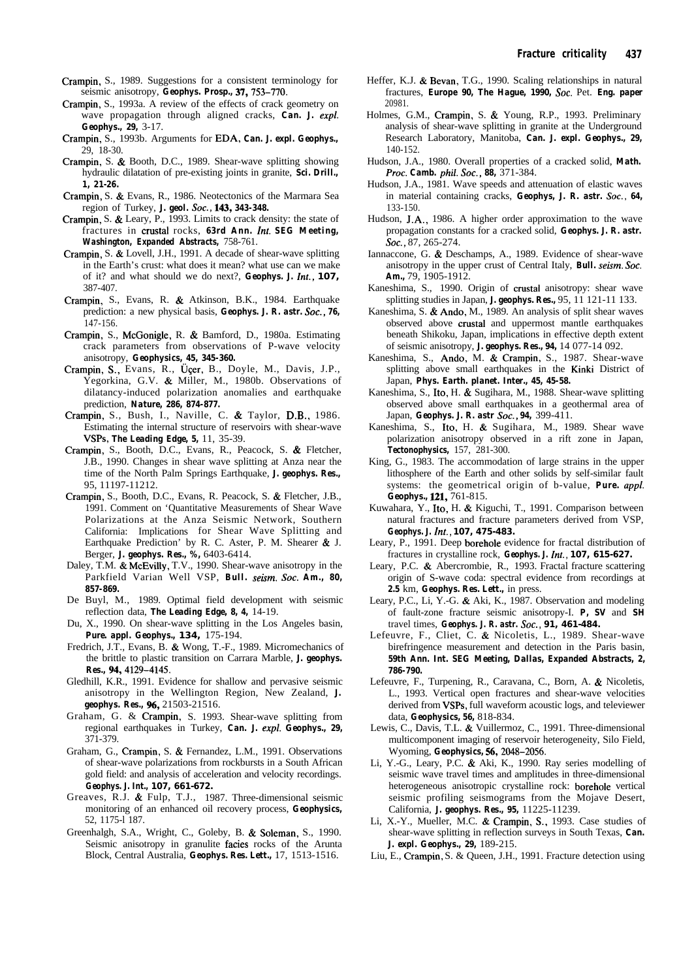- Crampin, S., 1989. Suggestions for a consistent terminology for seismic anisotropy, *Geophys. Prosp., 37,753-770.*
- Crampin, S., 1993a. A review of the effects of crack geometry on wave propagation through aligned cracks, *Can. J. expl. Geophys., 29,* 3-17.
- Crampin, S., 1993b. Arguments for EDA, *Can. J. expl. Geophys.,* 29, 18-30.
- Crampin, S. & Booth, D.C., 1989. Shear-wave splitting showing hydraulic dilatation of pre-existing joints in granite, *Sci. Drill.,* **1, 21-26.**
- Crampin, S. & Evans, R., 1986. Neotectonics of the Marmara Sea region of Turkey, *J. geol. Sot., X43, 343-348.*
- Crampin, S. & Leary, P., 1993. Limits to crack density: the state of fractures in crustal rocks, 63rd Ann. Int. SEG Meeting, *Washington, Expanded Abstracts,* 758-761.
- Crampin, S. & Lovell, J.H., 1991. A decade of shear-wave splitting in the Earth's crust: what does it mean? what use can we make of it? and what should we do next?, **Geophys. J. Int., 107,** 387-407.
- Crampin, S., Evans, R. & Atkinson, B.K., 1984. Earthquake prediction: a new physical basis, *Geophys. J. R. astr. Sot., 76,* 147-156.
- Crampin, S., McGonigle, R. & Bamford, D., 1980a. Estimating crack parameters from observations of P-wave velocity anisotropy, *Geophysics, 45, 345-360.*
- Crampin, S., Evans, R., Ucer, B., Doyle, M., Davis, J.P., Yegorkina, G.V. & Miller, M., 1980b. Observations of dilatancy-induced polarization anomalies and earthquake prediction, *Nature, 286, 874-877.*
- Crampin, S., Bush, I., Naville, C. & Taylor, D.B., 1986. Estimating the internal structure of reservoirs with shear-wave VSPs, *The Leading Edge, 5,* 11, 35-39.
- Crampin, S., Booth, D.C., Evans, R., Peacock, S. & Fletcher, J.B., 1990. Changes in shear wave splitting at Anza near the time of the North Palm Springs Earthquake, *J. geophys. Res.,* 95, 11197-11212.
- Crampin, S., Booth, D.C., Evans, R. Peacock, S. & Fletcher, J.B., 1991. Comment on 'Quantitative Measurements of Shear Wave Polarizations at the Anza Seismic Network, Southern California: Implications for Shear Wave Splitting and Earthquake Prediction' by R. C. Aster, P. M. Shearer & J. Berger, *J. geophys. Res., %,* 6403-6414.
- Daley, T.M. & McEvilly, T.V., 1990. Shear-wave anisotropy in the Parkfield Varian Well VSP, *Bull. seism. Sot. Am., 80, 857-869.*
- De Buyl, M., 1989. Optimal field development with seismic reflection data, *The Leading Edge, 8, 4,* 14-19.
- Du, X., 1990. On shear-wave splitting in the Los Angeles basin, *Pure. appl. Geophys.,* **134,** 175-194.
- Fredrich, J.T., Evans, B. & Wong, T.-F., 1989. Micromechanics of the brittle to plastic transition on Carrara Marble, *J. geophys. Res., 94,4129-4145.*
- Gledhill, K.R., 1991. Evidence for shallow and pervasive seismic anisotropy in the Wellington Region, New Zealand, *J. geophys. Res., 96,* 21503-21516.
- Graham, G. & Crampin, S. 1993. Shear-wave splitting from regional earthquakes in Turkey, *Can. J. expl. Geophys., 29,* 371-379.
- Graham, G., Crampin, S. & Fernandez, L.M., 1991. Observations of shear-wave polarizations from rockbursts in a South African gold field: and analysis of acceleration and velocity recordings. *Geophys. J. Int.,* **107, 661-672.**
- Greaves, R.J. & Fulp, T.J., 1987. Three-dimensional seismic monitoring of an enhanced oil recovery process, *Geophysics,* 52, 1175-l 187.
- Greenhalgh, S.A., Wright, C., Goleby, B. & Soleman, S., 1990. Seismic anisotropy in granulite facies rocks of the Arunta Block, Central Australia, *Geophys. Res. Lett.,* 17, 1513-1516.
- Heffer, K.J. & Bevan, T.G., 1990. Scaling relationships in natural fractures, *Europe 90, The Hague, 1990, Sot.* Pet. *Eng. paper* 20981.
- Holmes, G.M., Crampin, S. & Young, R.P., 1993. Preliminary analysis of shear-wave splitting in granite at the Underground Research Laboratory, Manitoba, *Can. J. expl. Geophys., 29,* 140-152.
- Hudson, J.A., 1980. Overall properties of a cracked solid, *Math. Proc. Camb. Phil. Sot., 88,* 371-384.
- Hudson, J.A., 1981. Wave speeds and attenuation of elastic waves in material containing cracks, *Geophys, J. R. astr. Sot., 64,* 133-150.
- Hudson, J.A., 1986. A higher order approximation to the wave propagation constants for a cracked solid, *Geophys. J. R. astr.* Soc., 87, 265-274.
- Iannaccone, G. & Deschamps, A., 1989. Evidence of shear-wave anisotropy in the upper crust of Central Italy, **Bull.** seism. Soc. *Am.,* 79, 1905-1912.
- Kaneshima, S., 1990. Origin of crustal anisotropy: shear wave splitting studies in Japan, *J. geophys. Res.,* 95, 11 121-11 133.
- Kaneshima, S. & Ando, M., 1989. An analysis of split shear waves observed above crustal and uppermost mantle earthquakes beneath Shikoku, Japan, implications in effective depth extent of seismic anisotropy, *J. geophys. Res., 94,* 14 077-14 092.
- Kaneshima, S., Ando, M. & Crampin, S., 1987. Shear-wave splitting above small earthquakes in the Kinki District of Japan, *Phys. Earth. planet. Inter., 45, 45-58.*
- Kaneshima, S., Ito, H. & Sugihara, M., 1988. Shear-wave splitting observed above small earthquakes in a geothermal area of Japan, *Geophys. J. R. astr Sot., 94,* 399-411.
- Kaneshima, S., Ito, H. & Sugihara, M., 1989. Shear wave polarization anisotropy observed in a rift zone in Japan, *Tectonophysics,* 157, 281-300.
- King, G., 1983. The accommodation of large strains in the upper lithosphere of the Earth and other solids by self-similar fault systems: the geometrical origin of b-value, *Pure. appl. Geophys.,* **121,** 761-815.
- Kuwahara, Y., Ito, H. & Kiguchi, T., 1991. Comparison between natural fractures and fracture parameters derived from VSP, *Geophys. J. Int.,* **107, 475-483.**
- Leary, P., 1991. Deep borehole evidence for fractal distribution of fractures in crystalline rock, *Geophys. J. Int.***, 107, 615-627.**
- Leary, P.C. & Abercrombie, R., 1993. Fractal fracture scattering origin of S-wave coda: spectral evidence from recordings at *2.5* km, *Geophys. Res. Lett.,* in press.
- Leary, P.C., Li, Y.-G. & Aki, K., 1987. Observation and modeling of fault-zone fracture seismic anisotropy-I. *P, SV* and *SH* travel times, *Geophys. J. R. astr. Sot.,* **91, 461-484.**
- Lefeuvre, F., Cliet, C. & Nicoletis, L., 1989. Shear-wave birefringence measurement and detection in the Paris basin, *59th Ann. Int. SEG Meeting, Dallas, Expanded Abstracts, 2, 786-790.*
- Lefeuvre, F., Turpening, R., Caravana, C., Born, A. & Nicoletis, L., 1993. Vertical open fractures and shear-wave velocities derived from VSPs, full waveform acoustic logs, and televiewer data, *Geophysics, 56,* 818-834.
- Lewis, C., Davis, T.L. & Vuillermoz, C., 1991. Three-dimensional multicomponent imaging of reservoir heterogeneity, Silo Field, Wyoming, *Geophysics, 56,2048-2056.*
- Li, Y.-G., Leary, P.C. & Aki, K., 1990. Ray series modelling of seismic wave travel times and amplitudes in three-dimensional heterogeneous anisotropic crystalline rock: borehole vertical seismic profiling seismograms from the Mojave Desert, California, *J. geophys. Res., 95,* 11225-11239.
- Li, X.-Y., Mueller, M.C. & Crampin, S., 1993. Case studies of shear-wave splitting in reflection surveys in South Texas, *Can. J. expl. Geophys., 29,* 189-215.
- Liu, E., Crampin, S. & Queen, J.H., 1991. Fracture detection using